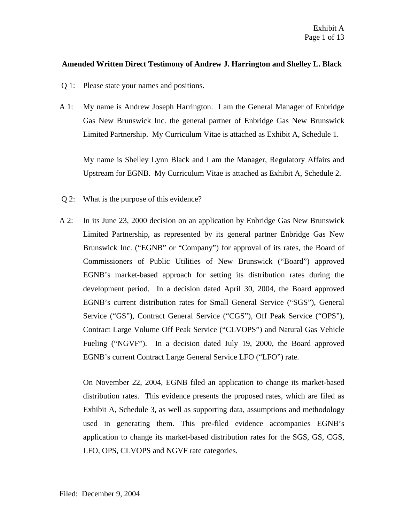## **Amended Written Direct Testimony of Andrew J. Harrington and Shelley L. Black**

- Q 1: Please state your names and positions.
- A 1: My name is Andrew Joseph Harrington. I am the General Manager of Enbridge Gas New Brunswick Inc. the general partner of Enbridge Gas New Brunswick Limited Partnership. My Curriculum Vitae is attached as Exhibit A, Schedule 1.

My name is Shelley Lynn Black and I am the Manager, Regulatory Affairs and Upstream for EGNB. My Curriculum Vitae is attached as Exhibit A, Schedule 2.

- Q 2: What is the purpose of this evidence?
- A 2: In its June 23, 2000 decision on an application by Enbridge Gas New Brunswick Limited Partnership, as represented by its general partner Enbridge Gas New Brunswick Inc. ("EGNB" or "Company") for approval of its rates, the Board of Commissioners of Public Utilities of New Brunswick ("Board") approved EGNB's market-based approach for setting its distribution rates during the development period. In a decision dated April 30, 2004, the Board approved EGNB's current distribution rates for Small General Service ("SGS"), General Service ("GS"), Contract General Service ("CGS"), Off Peak Service ("OPS"), Contract Large Volume Off Peak Service ("CLVOPS") and Natural Gas Vehicle Fueling ("NGVF"). In a decision dated July 19, 2000, the Board approved EGNB's current Contract Large General Service LFO ("LFO") rate.

On November 22, 2004, EGNB filed an application to change its market-based distribution rates. This evidence presents the proposed rates, which are filed as Exhibit A, Schedule 3, as well as supporting data, assumptions and methodology used in generating them. This pre-filed evidence accompanies EGNB's application to change its market-based distribution rates for the SGS, GS, CGS, LFO, OPS, CLVOPS and NGVF rate categories.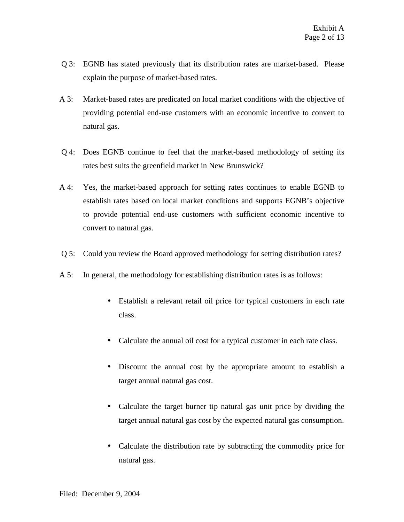- Q 3: EGNB has stated previously that its distribution rates are market-based. Please explain the purpose of market-based rates.
- A 3: Market-based rates are predicated on local market conditions with the objective of providing potential end-use customers with an economic incentive to convert to natural gas.
- Q 4: Does EGNB continue to feel that the market-based methodology of setting its rates best suits the greenfield market in New Brunswick?
- A 4: Yes, the market-based approach for setting rates continues to enable EGNB to establish rates based on local market conditions and supports EGNB's objective to provide potential end-use customers with sufficient economic incentive to convert to natural gas.
- Q 5: Could you review the Board approved methodology for setting distribution rates?
- A 5: In general, the methodology for establishing distribution rates is as follows:
	- Establish a relevant retail oil price for typical customers in each rate class.
	- Calculate the annual oil cost for a typical customer in each rate class.
	- Discount the annual cost by the appropriate amount to establish a target annual natural gas cost.
	- Calculate the target burner tip natural gas unit price by dividing the target annual natural gas cost by the expected natural gas consumption.
	- Calculate the distribution rate by subtracting the commodity price for natural gas.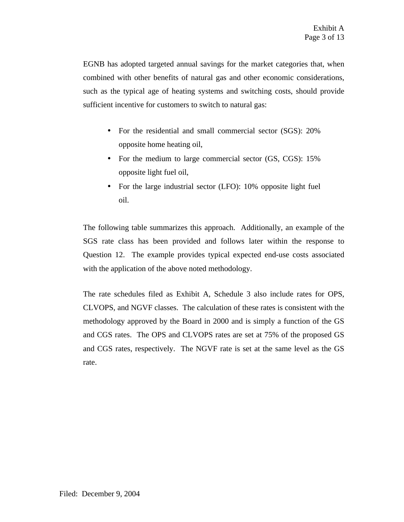EGNB has adopted targeted annual savings for the market categories that, when combined with other benefits of natural gas and other economic considerations, such as the typical age of heating systems and switching costs, should provide sufficient incentive for customers to switch to natural gas:

- For the residential and small commercial sector (SGS): 20% opposite home heating oil,
- For the medium to large commercial sector (GS, CGS): 15% opposite light fuel oil,
- For the large industrial sector (LFO): 10% opposite light fuel oil.

The following table summarizes this approach. Additionally, an example of the SGS rate class has been provided and follows later within the response to Question 12. The example provides typical expected end-use costs associated with the application of the above noted methodology.

The rate schedules filed as Exhibit A, Schedule 3 also include rates for OPS, CLVOPS, and NGVF classes. The calculation of these rates is consistent with the methodology approved by the Board in 2000 and is simply a function of the GS and CGS rates. The OPS and CLVOPS rates are set at 75% of the proposed GS and CGS rates, respectively. The NGVF rate is set at the same level as the GS rate.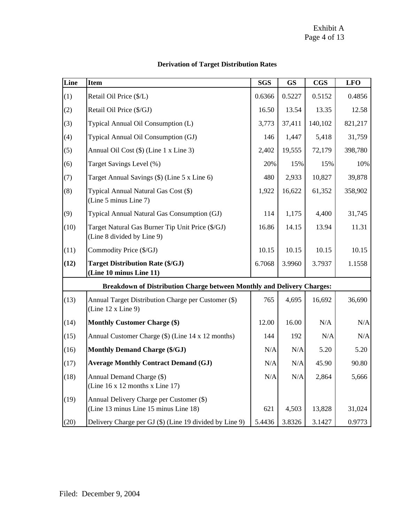| Line | <b>Item</b>                                                                       | <b>SGS</b> | <b>GS</b> | $CS$    | <b>LFO</b> |
|------|-----------------------------------------------------------------------------------|------------|-----------|---------|------------|
| (1)  | Retail Oil Price (\$/L)                                                           |            | 0.5227    | 0.5152  | 0.4856     |
| (2)  | Retail Oil Price (\$/GJ)                                                          |            | 13.54     | 13.35   | 12.58      |
| (3)  | Typical Annual Oil Consumption (L)                                                | 3,773      | 37,411    | 140,102 | 821,217    |
| (4)  | Typical Annual Oil Consumption (GJ)                                               | 146        | 1,447     | 5,418   | 31,759     |
| (5)  | Annual Oil Cost (\$) (Line 1 x Line 3)                                            | 2,402      | 19,555    | 72,179  | 398,780    |
| (6)  | Target Savings Level (%)                                                          | 20%        | 15%       | 15%     | 10%        |
| (7)  | Target Annual Savings (\$) (Line 5 x Line 6)                                      | 480        | 2,933     | 10,827  | 39,878     |
| (8)  | Typical Annual Natural Gas Cost (\$)<br>(Line 5 minus Line 7)                     |            | 16,622    | 61,352  | 358,902    |
| (9)  | Typical Annual Natural Gas Consumption (GJ)                                       | 114        | 1,175     | 4,400   | 31,745     |
| (10) | Target Natural Gas Burner Tip Unit Price (\$/GJ)<br>(Line 8 divided by Line 9)    |            | 14.15     | 13.94   | 11.31      |
| (11) | Commodity Price (\$/GJ)                                                           | 10.15      | 10.15     | 10.15   | 10.15      |
| (12) | <b>Target Distribution Rate (\$/GJ)</b><br>(Line 10 minus Line 11)                | 6.7068     | 3.9960    | 3.7937  | 1.1558     |
|      | Breakdown of Distribution Charge between Monthly and Delivery Charges:            |            |           |         |            |
| (13) | Annual Target Distribution Charge per Customer (\$)<br>(Line 12 x Line 9)         | 765        | 4,695     | 16,692  | 36,690     |
| (14) | <b>Monthly Customer Charge (\$)</b>                                               |            | 16.00     | N/A     | N/A        |
| (15) | Annual Customer Charge (\$) (Line 14 x 12 months)                                 |            | 192       | N/A     | N/A        |
| (16) | <b>Monthly Demand Charge (\$/GJ)</b>                                              |            | N/A       | 5.20    | 5.20       |
| (17) | <b>Average Monthly Contract Demand (GJ)</b>                                       |            | N/A       | 45.90   | 90.80      |
| (18) | Annual Demand Charge (\$)<br>(Line $16 \times 12$ months x Line 17)               |            | N/A       | 2,864   | 5,666      |
| (19) | Annual Delivery Charge per Customer (\$)<br>(Line 13 minus Line 15 minus Line 18) | 621        | 4,503     | 13,828  | 31,024     |
| (20) | Delivery Charge per GJ (\$) (Line 19 divided by Line 9)                           | 5.4436     | 3.8326    | 3.1427  | 0.9773     |

## **Derivation of Target Distribution Rates**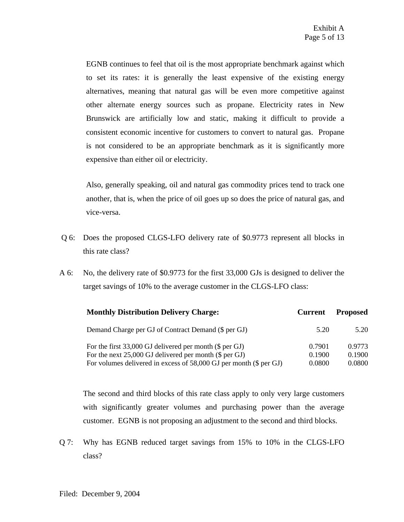EGNB continues to feel that oil is the most appropriate benchmark against which to set its rates: it is generally the least expensive of the existing energy alternatives, meaning that natural gas will be even more competitive against other alternate energy sources such as propane. Electricity rates in New Brunswick are artificially low and static, making it difficult to provide a consistent economic incentive for customers to convert to natural gas. Propane is not considered to be an appropriate benchmark as it is significantly more expensive than either oil or electricity.

Also, generally speaking, oil and natural gas commodity prices tend to track one another, that is, when the price of oil goes up so does the price of natural gas, and vice-versa.

- Q 6: Does the proposed CLGS-LFO delivery rate of \$0.9773 represent all blocks in this rate class?
- A 6: No, the delivery rate of \$0.9773 for the first 33,000 GJs is designed to deliver the target savings of 10% to the average customer in the CLGS-LFO class:

| <b>Monthly Distribution Delivery Charge:</b>                       | <b>Current</b> | <b>Proposed</b> |
|--------------------------------------------------------------------|----------------|-----------------|
| Demand Charge per GJ of Contract Demand (\$ per GJ)                | 5.20           | 5.20            |
| For the first 33,000 GJ delivered per month (\$ per GJ)            | 0.7901         | 0.9773          |
| For the next $25,000$ GJ delivered per month (\$ per GJ)           | 0.1900         | 0.1900          |
| For volumes delivered in excess of 58,000 GJ per month (\$ per GJ) | 0.0800         | 0.0800          |

The second and third blocks of this rate class apply to only very large customers with significantly greater volumes and purchasing power than the average customer. EGNB is not proposing an adjustment to the second and third blocks.

Q 7: Why has EGNB reduced target savings from 15% to 10% in the CLGS-LFO class?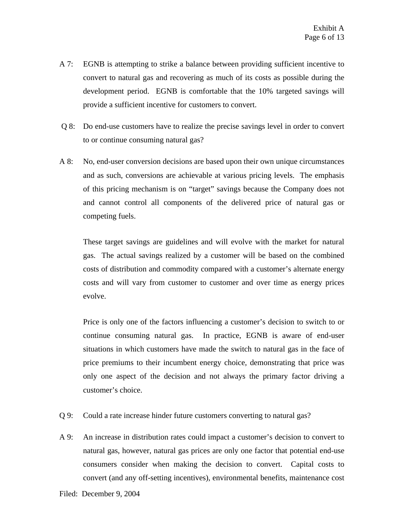- A 7: EGNB is attempting to strike a balance between providing sufficient incentive to convert to natural gas and recovering as much of its costs as possible during the development period. EGNB is comfortable that the 10% targeted savings will provide a sufficient incentive for customers to convert.
- Q 8: Do end-use customers have to realize the precise savings level in order to convert to or continue consuming natural gas?
- A 8: No, end-user conversion decisions are based upon their own unique circumstances and as such, conversions are achievable at various pricing levels. The emphasis of this pricing mechanism is on "target" savings because the Company does not and cannot control all components of the delivered price of natural gas or competing fuels.

These target savings are guidelines and will evolve with the market for natural gas. The actual savings realized by a customer will be based on the combined costs of distribution and commodity compared with a customer's alternate energy costs and will vary from customer to customer and over time as energy prices evolve.

Price is only one of the factors influencing a customer's decision to switch to or continue consuming natural gas. In practice, EGNB is aware of end-user situations in which customers have made the switch to natural gas in the face of price premiums to their incumbent energy choice, demonstrating that price was only one aspect of the decision and not always the primary factor driving a customer's choice.

- Q 9: Could a rate increase hinder future customers converting to natural gas?
- A 9: An increase in distribution rates could impact a customer's decision to convert to natural gas, however, natural gas prices are only one factor that potential end-use consumers consider when making the decision to convert. Capital costs to convert (and any off-setting incentives), environmental benefits, maintenance cost

Filed: December 9, 2004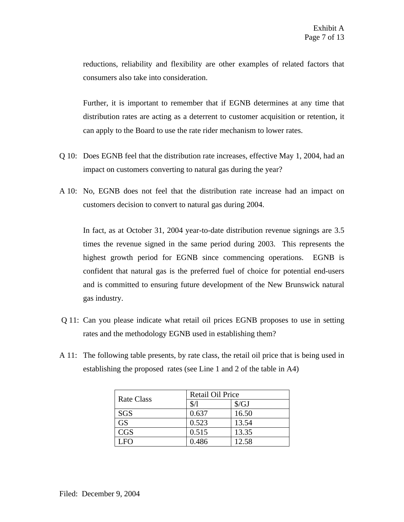reductions, reliability and flexibility are other examples of related factors that consumers also take into consideration.

Further, it is important to remember that if EGNB determines at any time that distribution rates are acting as a deterrent to customer acquisition or retention, it can apply to the Board to use the rate rider mechanism to lower rates.

- Q 10: Does EGNB feel that the distribution rate increases, effective May 1, 2004, had an impact on customers converting to natural gas during the year?
- A 10: No, EGNB does not feel that the distribution rate increase had an impact on customers decision to convert to natural gas during 2004.

In fact, as at October 31, 2004 year-to-date distribution revenue signings are 3.5 times the revenue signed in the same period during 2003. This represents the highest growth period for EGNB since commencing operations. EGNB is confident that natural gas is the preferred fuel of choice for potential end-users and is committed to ensuring future development of the New Brunswick natural gas industry.

- Q 11: Can you please indicate what retail oil prices EGNB proposes to use in setting rates and the methodology EGNB used in establishing them?
- A 11: The following table presents, by rate class, the retail oil price that is being used in establishing the proposed rates (see Line 1 and 2 of the table in A4)

| Rate Class | Retail Oil Price |              |  |  |
|------------|------------------|--------------|--|--|
|            | $\frac{1}{2}$    | $\sqrt{$GJ}$ |  |  |
| <b>SGS</b> | 0.637            | 16.50        |  |  |
| <b>GS</b>  | 0.523            | 13.54        |  |  |
| <b>CGS</b> | 0.515            | 13.35        |  |  |
| LFO        | 0.486            | 12.58        |  |  |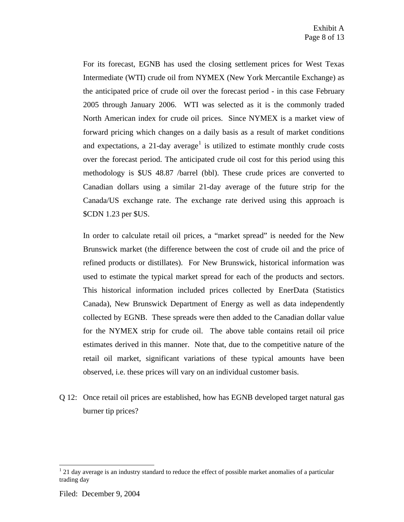For its forecast, EGNB has used the closing settlement prices for West Texas Intermediate (WTI) crude oil from NYMEX (New York Mercantile Exchange) as the anticipated price of crude oil over the forecast period - in this case February 2005 through January 2006. WTI was selected as it is the commonly traded North American index for crude oil prices. Since NYMEX is a market view of forward pricing which changes on a daily basis as a result of market conditions and expectations, a 21-day average<sup>1</sup> is utilized to estimate monthly crude costs over the forecast period. The anticipated crude oil cost for this period using this methodology is \$US 48.87 /barrel (bbl). These crude prices are converted to Canadian dollars using a similar 21-day average of the future strip for the Canada/US exchange rate. The exchange rate derived using this approach is \$CDN 1.23 per \$US.

In order to calculate retail oil prices, a "market spread" is needed for the New Brunswick market (the difference between the cost of crude oil and the price of refined products or distillates). For New Brunswick, historical information was used to estimate the typical market spread for each of the products and sectors. This historical information included prices collected by EnerData (Statistics Canada), New Brunswick Department of Energy as well as data independently collected by EGNB. These spreads were then added to the Canadian dollar value for the NYMEX strip for crude oil. The above table contains retail oil price estimates derived in this manner. Note that, due to the competitive nature of the retail oil market, significant variations of these typical amounts have been observed, i.e. these prices will vary on an individual customer basis.

Q 12: Once retail oil prices are established, how has EGNB developed target natural gas burner tip prices?

<sup>&</sup>lt;sup>1</sup> 21 day average is an industry standard to reduce the effect of possible market anomalies of a particular trading day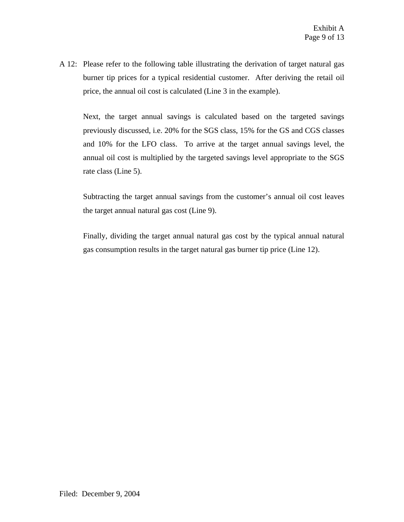A 12: Please refer to the following table illustrating the derivation of target natural gas burner tip prices for a typical residential customer. After deriving the retail oil price, the annual oil cost is calculated (Line 3 in the example).

Next, the target annual savings is calculated based on the targeted savings previously discussed, i.e. 20% for the SGS class, 15% for the GS and CGS classes and 10% for the LFO class. To arrive at the target annual savings level, the annual oil cost is multiplied by the targeted savings level appropriate to the SGS rate class (Line 5).

Subtracting the target annual savings from the customer's annual oil cost leaves the target annual natural gas cost (Line 9).

Finally, dividing the target annual natural gas cost by the typical annual natural gas consumption results in the target natural gas burner tip price (Line 12).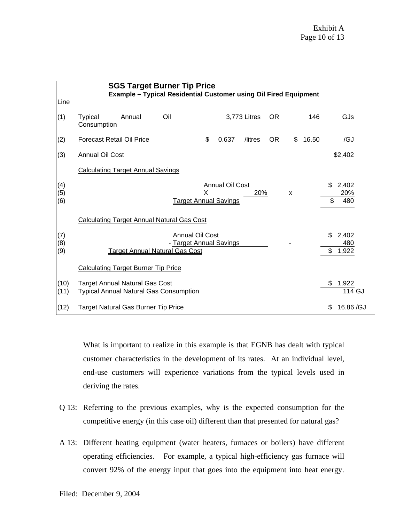|                   | <b>SGS Target Burner Tip Price</b><br>Example - Typical Residential Customer using Oil Fired Equipment |                                            |                 |              |     |    |       |                                   |
|-------------------|--------------------------------------------------------------------------------------------------------|--------------------------------------------|-----------------|--------------|-----|----|-------|-----------------------------------|
| <b>Line</b>       |                                                                                                        |                                            |                 |              |     |    |       |                                   |
| (1)               | <b>Typical</b><br>Annual<br>Oil<br>Consumption                                                         |                                            |                 | 3,773 Litres | OR. |    | 146   | GJs                               |
| (2)               | <b>Forecast Retail Oil Price</b>                                                                       | \$                                         | 0.637           | /litres      | OR. | \$ | 16.50 | /GJ                               |
| (3)               | Annual Oil Cost                                                                                        |                                            |                 |              |     |    |       | \$2,402                           |
|                   | <b>Calculating Target Annual Savings</b>                                                               |                                            |                 |              |     |    |       |                                   |
| (4)<br>(5)<br>(6) |                                                                                                        | X<br><b>Target Annual Savings</b>          | Annual Oil Cost | 20%          |     | X  |       | 2,402<br>\$.<br>20%<br>\$.<br>480 |
|                   | <b>Calculating Target Annual Natural Gas Cost</b>                                                      |                                            |                 |              |     |    |       |                                   |
| (7)<br>(8)<br>(9) | <b>Target Annual Natural Gas Cost</b>                                                                  | Annual Oil Cost<br>- Target Annual Savings |                 |              |     |    |       | 2,402<br>£.<br>480<br>\$<br>1,922 |
|                   | <b>Calculating Target Burner Tip Price</b>                                                             |                                            |                 |              |     |    |       |                                   |
| (10)<br>(11)      | <b>Target Annual Natural Gas Cost</b><br><b>Typical Annual Natural Gas Consumption</b>                 |                                            |                 |              |     |    |       | \$<br>1,922<br>114 GJ             |
| (12)              | <b>Target Natural Gas Burner Tip Price</b>                                                             |                                            |                 |              |     |    |       | 16.86 / GJ<br>\$                  |

What is important to realize in this example is that EGNB has dealt with typical customer characteristics in the development of its rates. At an individual level, end-use customers will experience variations from the typical levels used in deriving the rates.

- Q 13: Referring to the previous examples, why is the expected consumption for the competitive energy (in this case oil) different than that presented for natural gas?
- A 13: Different heating equipment (water heaters, furnaces or boilers) have different operating efficiencies. For example, a typical high-efficiency gas furnace will convert 92% of the energy input that goes into the equipment into heat energy.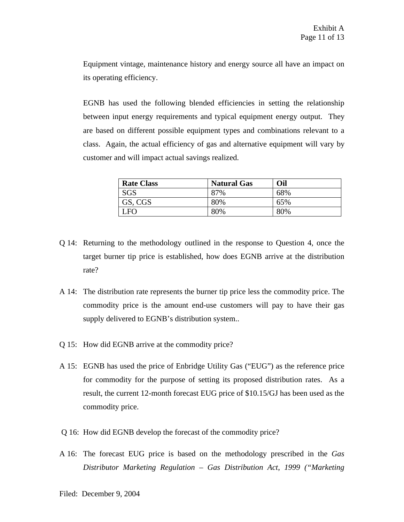Equipment vintage, maintenance history and energy source all have an impact on its operating efficiency.

EGNB has used the following blended efficiencies in setting the relationship between input energy requirements and typical equipment energy output. They are based on different possible equipment types and combinations relevant to a class. Again, the actual efficiency of gas and alternative equipment will vary by customer and will impact actual savings realized.

| <b>Rate Class</b> | <b>Natural Gas</b> | Oil |
|-------------------|--------------------|-----|
| <b>SGS</b>        | 87%                | 68% |
| GS, CGS           | 80%                | 65% |
| FC                | 80%                | 80% |

- Q 14: Returning to the methodology outlined in the response to Question 4, once the target burner tip price is established, how does EGNB arrive at the distribution rate?
- A 14: The distribution rate represents the burner tip price less the commodity price. The commodity price is the amount end-use customers will pay to have their gas supply delivered to EGNB's distribution system..
- Q 15: How did EGNB arrive at the commodity price?
- A 15: EGNB has used the price of Enbridge Utility Gas ("EUG") as the reference price for commodity for the purpose of setting its proposed distribution rates. As a result, the current 12-month forecast EUG price of \$10.15/GJ has been used as the commodity price.
- Q 16: How did EGNB develop the forecast of the commodity price?
- A 16: The forecast EUG price is based on the methodology prescribed in the *Gas Distributor Marketing Regulation – Gas Distribution Act*, *1999 ("Marketing*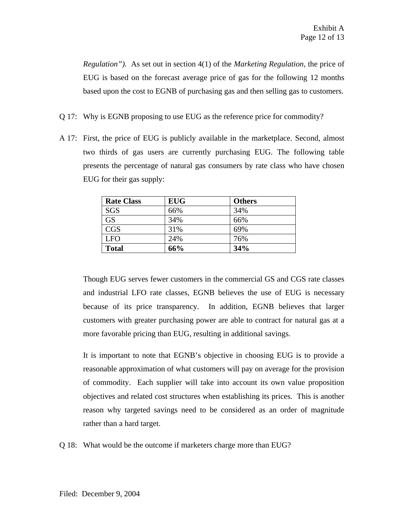*Regulation").* As set out in section 4(1) of the *Marketing Regulation,* the price of EUG is based on the forecast average price of gas for the following 12 months based upon the cost to EGNB of purchasing gas and then selling gas to customers.

- Q 17: Why is EGNB proposing to use EUG as the reference price for commodity?
- A 17: First, the price of EUG is publicly available in the marketplace. Second, almost two thirds of gas users are currently purchasing EUG. The following table presents the percentage of natural gas consumers by rate class who have chosen EUG for their gas supply:

| <b>Rate Class</b> | <b>EUG</b> | <b>Others</b> |
|-------------------|------------|---------------|
| SGS               | 66%        | 34%           |
| <b>GS</b>         | 34%        | 66%           |
| CGS               | 31%        | 69%           |
| <b>LFO</b>        | 24%        | 76%           |
| <b>Total</b>      | 66%        | 34%           |

Though EUG serves fewer customers in the commercial GS and CGS rate classes and industrial LFO rate classes, EGNB believes the use of EUG is necessary because of its price transparency. In addition, EGNB believes that larger customers with greater purchasing power are able to contract for natural gas at a more favorable pricing than EUG, resulting in additional savings.

It is important to note that EGNB's objective in choosing EUG is to provide a reasonable approximation of what customers will pay on average for the provision of commodity. Each supplier will take into account its own value proposition objectives and related cost structures when establishing its prices. This is another reason why targeted savings need to be considered as an order of magnitude rather than a hard target.

Q 18: What would be the outcome if marketers charge more than EUG?